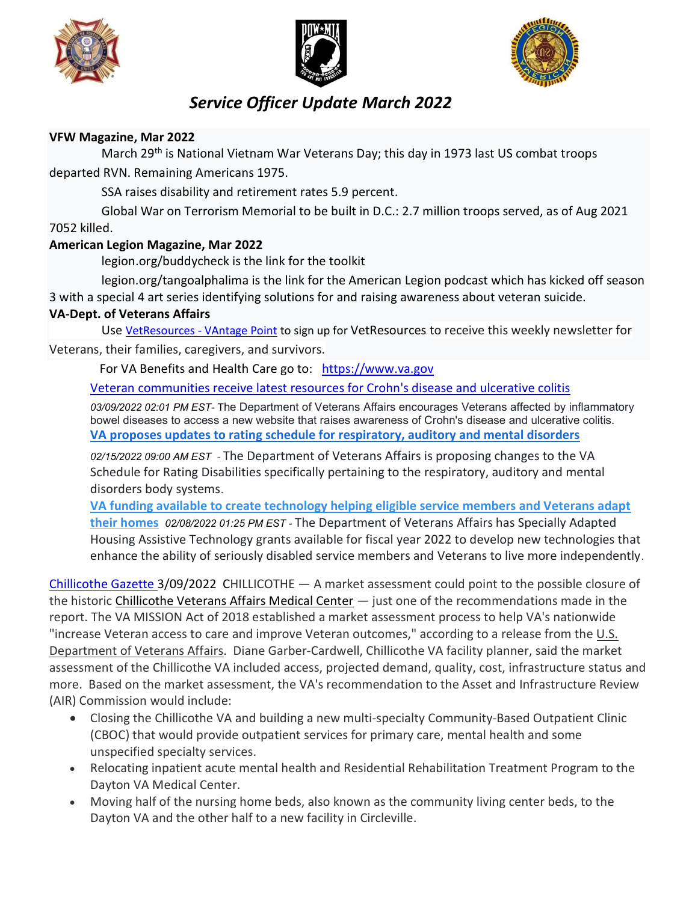





## Service Officer Update March 2022

## VFW Magazine, Mar 2022

March 29<sup>th</sup> is National Vietnam War Veterans Day; this day in 1973 last US combat troops departed RVN. Remaining Americans 1975.

SSA raises disability and retirement rates 5.9 percent.

 Global War on Terrorism Memorial to be built in D.C.: 2.7 million troops served, as of Aug 2021 7052 killed.

## American Legion Magazine, Mar 2022

legion.org/buddycheck is the link for the toolkit

 legion.org/tangoalphalima is the link for the American Legion podcast which has kicked off season 3 with a special 4 art series identifying solutions for and raising awareness about veteran suicide.

## VA-Dept. of Veterans Affairs

Use VetResources - VAntage Point to sign up for VetResources to receive this weekly newsletter for Veterans, their families, caregivers, and survivors.

For VA Benefits and Health Care go to: https://www.va.gov

Veteran communities receive latest resources for Crohn's disease and ulcerative colitis

03/09/2022 02:01 PM EST- The Department of Veterans Affairs encourages Veterans affected by inflammatory bowel diseases to access a new website that raises awareness of Crohn's disease and ulcerative colitis. VA proposes updates to rating schedule for respiratory, auditory and mental disorders

02/15/2022 09:00 AM EST - The Department of Veterans Affairs is proposing changes to the VA Schedule for Rating Disabilities specifically pertaining to the respiratory, auditory and mental disorders body systems.

VA funding available to create technology helping eligible service members and Veterans adapt their homes 02/08/2022 01:25 PM EST - The Department of Veterans Affairs has Specially Adapted Housing Assistive Technology grants available for fiscal year 2022 to develop new technologies that enhance the ability of seriously disabled service members and Veterans to live more independently.

Chillicothe Gazette 3/09/2022 CHILLICOTHE — A market assessment could point to the possible closure of the historic Chillicothe Veterans Affairs Medical Center - just one of the recommendations made in the report. The VA MISSION Act of 2018 established a market assessment process to help VA's nationwide "increase Veteran access to care and improve Veteran outcomes," according to a release from the U.S. Department of Veterans Affairs. Diane Garber-Cardwell, Chillicothe VA facility planner, said the market assessment of the Chillicothe VA included access, projected demand, quality, cost, infrastructure status and more. Based on the market assessment, the VA's recommendation to the Asset and Infrastructure Review (AIR) Commission would include:

- Closing the Chillicothe VA and building a new multi-specialty Community-Based Outpatient Clinic (CBOC) that would provide outpatient services for primary care, mental health and some unspecified specialty services.
- Relocating inpatient acute mental health and Residential Rehabilitation Treatment Program to the Dayton VA Medical Center.
- Moving half of the nursing home beds, also known as the community living center beds, to the Dayton VA and the other half to a new facility in Circleville.